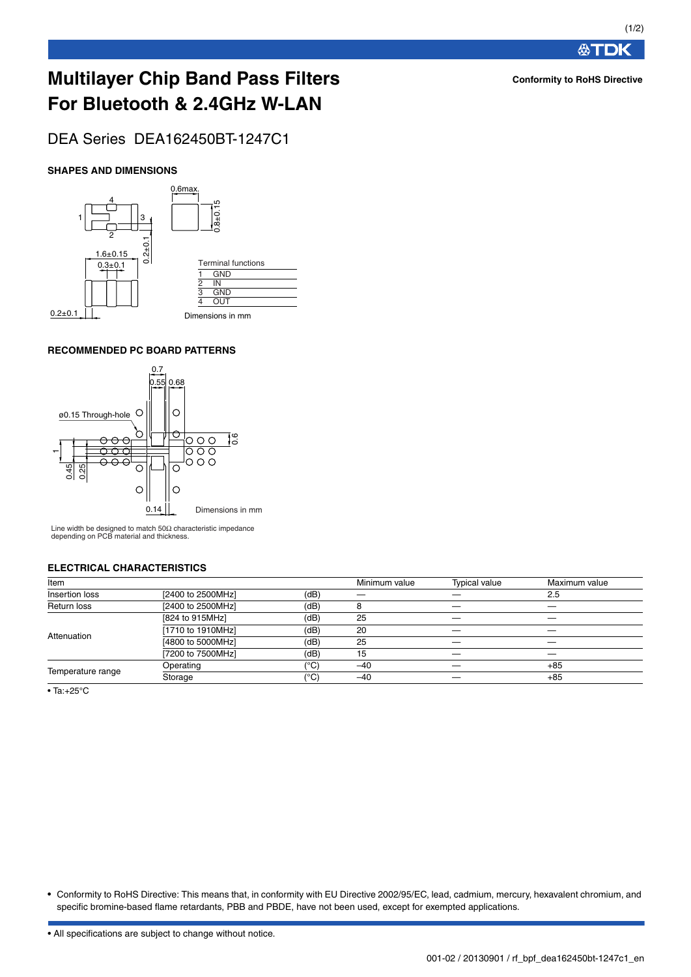**公丁DK** 

**Conformity to RoHS Directive**

# **Multilayer Chip Band Pass Filters For Bluetooth & 2.4GHz W-LAN**

DEA Series DEA162450BT-1247C1

## **SHAPES AND DIMENSIONS**



## **RECOMMENDED PC BOARD PATTERNS**



Line width be designed to match 50Ω characteristic impedance depending on PCB material and thickness.

#### **ELECTRICAL CHARACTERISTICS**

| Item              |                   |                 | Minimum value | <b>Typical value</b> | Maximum value |
|-------------------|-------------------|-----------------|---------------|----------------------|---------------|
| Insertion loss    | [2400 to 2500MHz] | (dB)            |               |                      | 2.5           |
| Return loss       | [2400 to 2500MHz] | (dB)            |               |                      |               |
| Attenuation       | [824 to 915MHz]   | (dB)            | 25            | _                    |               |
|                   | [1710 to 1910MHz] | (dB)            | 20            |                      |               |
|                   | [4800 to 5000MHz] | (dB)            | 25            |                      |               |
|                   | [7200 to 7500MHz] | (dB)            | 15            |                      |               |
| Temperature range | Operating         | (°C)            | $-40$         |                      | $+85$         |
|                   | Storage           | <sup>(°C)</sup> | $-40$         |                      | $+85$         |
|                   |                   |                 |               |                      |               |

• Ta:+25°C

• Conformity to RoHS Directive: This means that, in conformity with EU Directive 2002/95/EC, lead, cadmium, mercury, hexavalent chromium, and specific bromine-based flame retardants, PBB and PBDE, have not been used, except for exempted applications.

• All specifications are subject to change without notice.